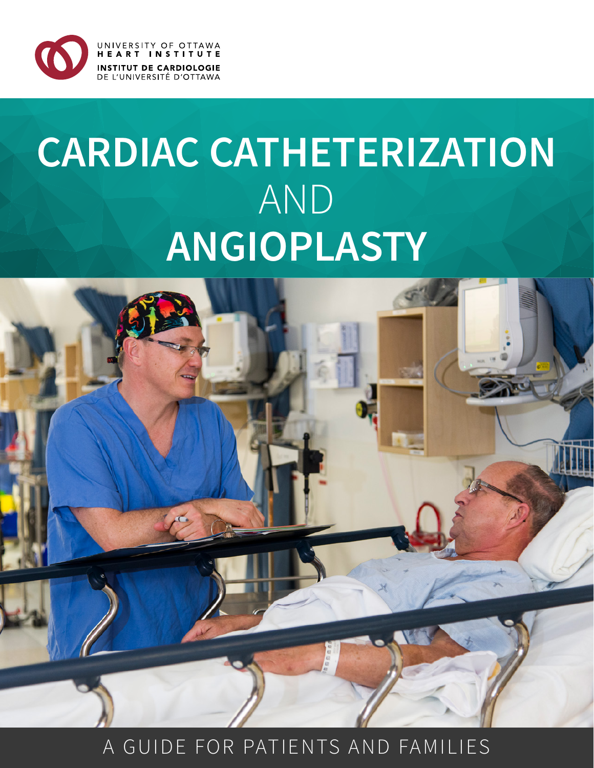

# **CARDIAC CATHETERIZATION**  AND **ANGIOPLASTY**



## A GUIDE FOR PATIENTS AND FAMILIES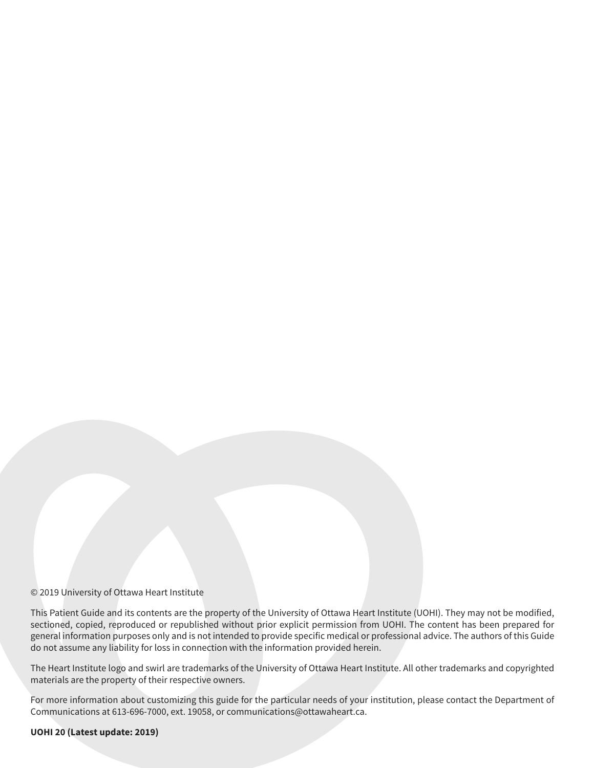#### © 2019 University of Ottawa Heart Institute

This Patient Guide and its contents are the property of the University of Ottawa Heart Institute (UOHI). They may not be modified, sectioned, copied, reproduced or republished without prior explicit permission from UOHI. The content has been prepared for general information purposes only and is not intended to provide specific medical or professional advice. The authors of this Guide do not assume any liability for loss in connection with the information provided herein.

The Heart Institute logo and swirl are trademarks of the University of Ottawa Heart Institute. All other trademarks and copyrighted materials are the property of their respective owners.

For more information about customizing this guide for the particular needs of your institution, please contact the Department of Communications at 613-696-7000, ext. 19058, or communications@ottawaheart.ca.

#### **UOHI 20 (Latest update: 2019)**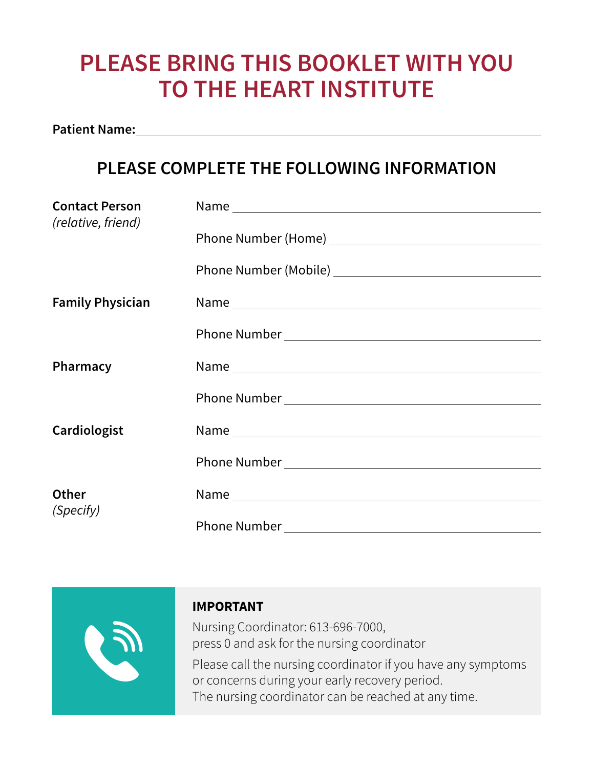## **PLEASE BRING THIS BOOKLET WITH YOU TO THE HEART INSTITUTE**

**Patient Name:**

## **PLEASE COMPLETE THE FOLLOWING INFORMATION**

| <b>Contact Person</b>   |  |
|-------------------------|--|
| (relative, friend)      |  |
|                         |  |
|                         |  |
|                         |  |
| <b>Family Physician</b> |  |
|                         |  |
|                         |  |
| Pharmacy                |  |
|                         |  |
|                         |  |
|                         |  |
| Cardiologist            |  |
|                         |  |
|                         |  |
| <b>Other</b>            |  |
| (Specify)               |  |
|                         |  |



### **IMPORTANT**

Nursing Coordinator: 613-696-7000, press 0 and ask for the nursing coordinator Please call the nursing coordinator if you have any symptoms or concerns during your early recovery period. The nursing coordinator can be reached at any time.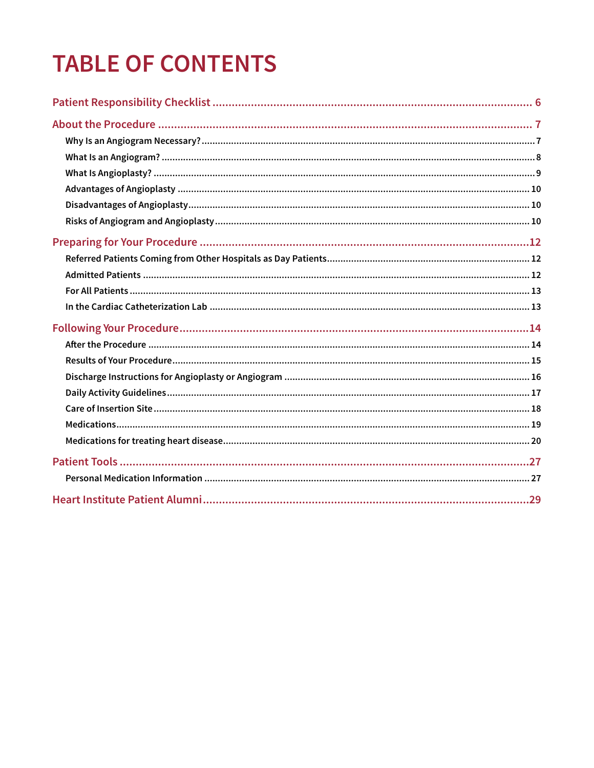## **TABLE OF CONTENTS**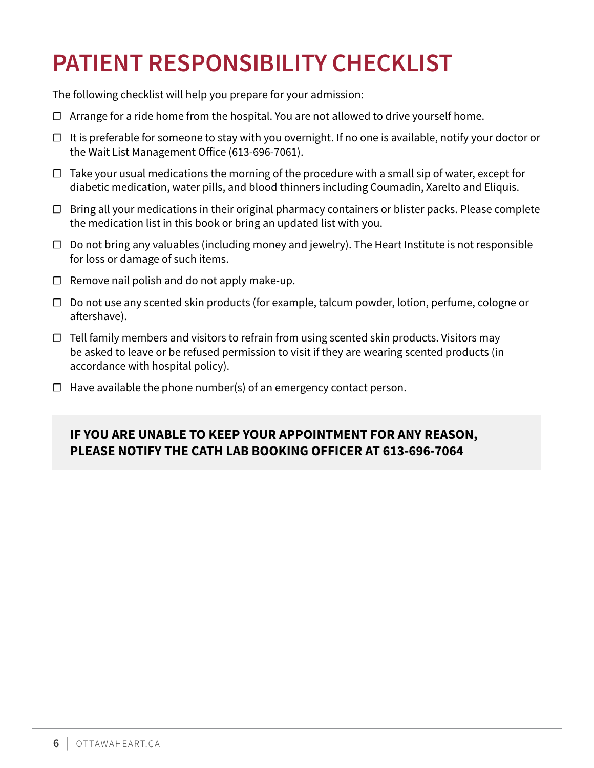## <span id="page-5-0"></span>**PATIENT RESPONSIBILITY CHECKLIST**

The following checklist will help you prepare for your admission:

- $\Box$  Arrange for a ride home from the hospital. You are not allowed to drive yourself home.
- $\Box$  It is preferable for someone to stay with you overnight. If no one is available, notify your doctor or the Wait List Management Office (613-696-7061).
- ☐ Take your usual medications the morning of the procedure with a small sip of water, except for diabetic medication, water pills, and blood thinners including Coumadin, Xarelto and Eliquis.
- $\Box$  Bring all your medications in their original pharmacy containers or blister packs. Please complete the medication list in this book or bring an updated list with you.
- $\Box$  Do not bring any valuables (including money and jewelry). The Heart Institute is not responsible for loss or damage of such items.
- $\Box$  Remove nail polish and do not apply make-up.
- ☐ Do not use any scented skin products (for example, talcum powder, lotion, perfume, cologne or aftershave).
- $\Box$  Tell family members and visitors to refrain from using scented skin products. Visitors may be asked to leave or be refused permission to visit if they are wearing scented products (in accordance with hospital policy).
- $\Box$  Have available the phone number(s) of an emergency contact person.

### **IF YOU ARE UNABLE TO KEEP YOUR APPOINTMENT FOR ANY REASON, PLEASE NOTIFY THE CATH LAB BOOKING OFFICER AT 613-696-7064**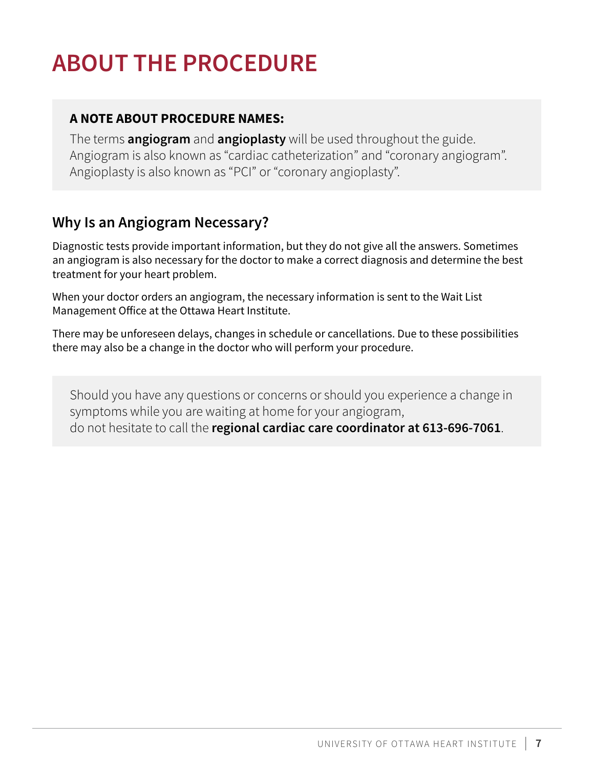## <span id="page-6-0"></span>**ABOUT THE PROCEDURE**

### **A NOTE ABOUT PROCEDURE NAMES:**

The terms **angiogram** and **angioplasty** will be used throughout the guide. Angiogram is also known as "cardiac catheterization" and "coronary angiogram". Angioplasty is also known as "PCI" or "coronary angioplasty".

## **Why Is an Angiogram Necessary?**

Diagnostic tests provide important information, but they do not give all the answers. Sometimes an angiogram is also necessary for the doctor to make a correct diagnosis and determine the best treatment for your heart problem.

When your doctor orders an angiogram, the necessary information is sent to the Wait List Management Office at the Ottawa Heart Institute.

There may be unforeseen delays, changes in schedule or cancellations. Due to these possibilities there may also be a change in the doctor who will perform your procedure.

Should you have any questions or concerns or should you experience a change in symptoms while you are waiting at home for your angiogram, do not hesitate to call the **regional cardiac care coordinator at 613-696-7061**.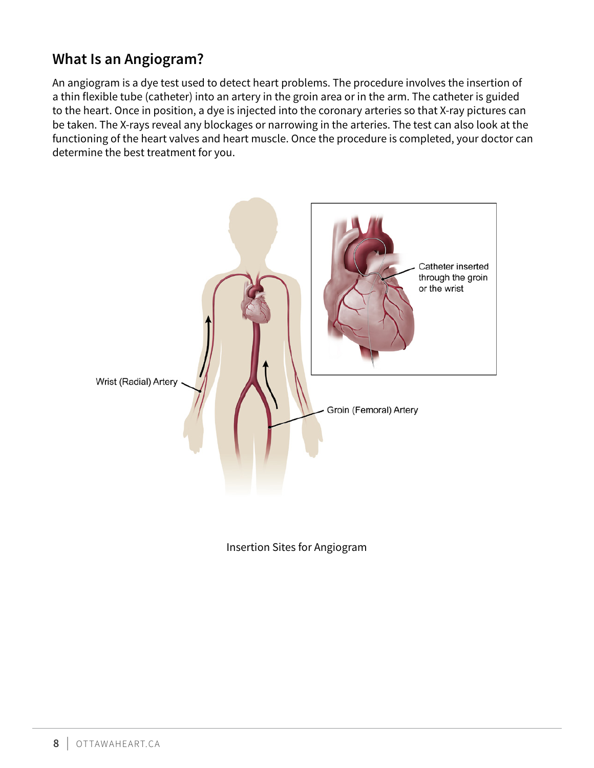## <span id="page-7-0"></span>**What Is an Angiogram?**

An angiogram is a dye test used to detect heart problems. The procedure involves the insertion of a thin flexible tube (catheter) into an artery in the groin area or in the arm. The catheter is guided to the heart. Once in position, a dye is injected into the coronary arteries so that X-ray pictures can be taken. The X-rays reveal any blockages or narrowing in the arteries. The test can also look at the functioning of the heart valves and heart muscle. Once the procedure is completed, your doctor can determine the best treatment for you.



Insertion Sites for Angiogram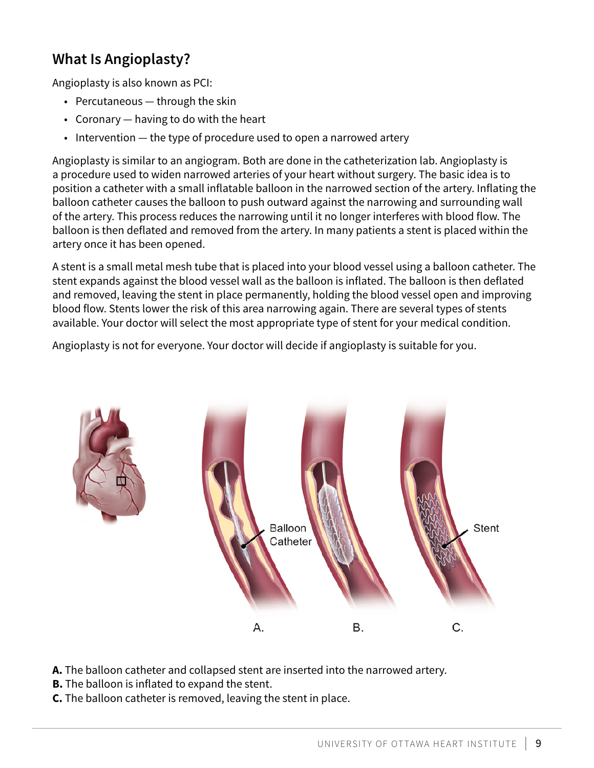## <span id="page-8-0"></span>**What Is Angioplasty?**

Angioplasty is also known as PCI:

- Percutaneous through the skin
- Coronary having to do with the heart
- Intervention the type of procedure used to open a narrowed artery

Angioplasty is similar to an angiogram. Both are done in the catheterization lab. Angioplasty is a procedure used to widen narrowed arteries of your heart without surgery. The basic idea is to position a catheter with a small inflatable balloon in the narrowed section of the artery. Inflating the balloon catheter causes the balloon to push outward against the narrowing and surrounding wall of the artery. This process reduces the narrowing until it no longer interferes with blood flow. The balloon is then deflated and removed from the artery. In many patients a stent is placed within the artery once it has been opened.

A stent is a small metal mesh tube that is placed into your blood vessel using a balloon catheter. The stent expands against the blood vessel wall as the balloon is inflated. The balloon is then deflated and removed, leaving the stent in place permanently, holding the blood vessel open and improving blood flow. Stents lower the risk of this area narrowing again. There are several types of stents available. Your doctor will select the most appropriate type of stent for your medical condition.

Angioplasty is not for everyone. Your doctor will decide if angioplasty is suitable for you.



- **A.** The balloon catheter and collapsed stent are inserted into the narrowed artery.
- **B.** The balloon is inflated to expand the stent.
- **C.** The balloon catheter is removed, leaving the stent in place.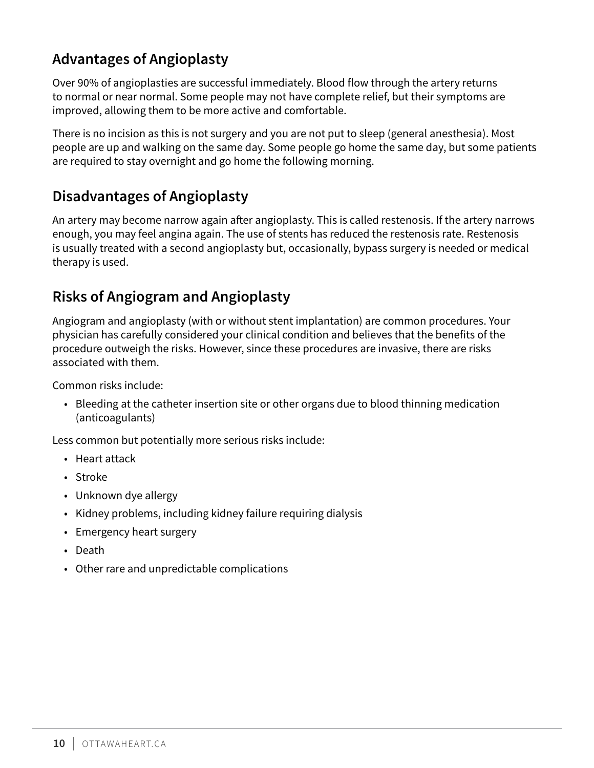## <span id="page-9-0"></span>**Advantages of Angioplasty**

Over 90% of angioplasties are successful immediately. Blood flow through the artery returns to normal or near normal. Some people may not have complete relief, but their symptoms are improved, allowing them to be more active and comfortable.

There is no incision as this is not surgery and you are not put to sleep (general anesthesia). Most people are up and walking on the same day. Some people go home the same day, but some patients are required to stay overnight and go home the following morning.

## **Disadvantages of Angioplasty**

An artery may become narrow again after angioplasty. This is called restenosis. If the artery narrows enough, you may feel angina again. The use of stents has reduced the restenosis rate. Restenosis is usually treated with a second angioplasty but, occasionally, bypass surgery is needed or medical therapy is used.

## **Risks of Angiogram and Angioplasty**

Angiogram and angioplasty (with or without stent implantation) are common procedures. Your physician has carefully considered your clinical condition and believes that the benefits of the procedure outweigh the risks. However, since these procedures are invasive, there are risks associated with them.

Common risks include:

• Bleeding at the catheter insertion site or other organs due to blood thinning medication (anticoagulants)

Less common but potentially more serious risks include:

- Heart attack
- Stroke
- Unknown dye allergy
- Kidney problems, including kidney failure requiring dialysis
- Emergency heart surgery
- Death
- Other rare and unpredictable complications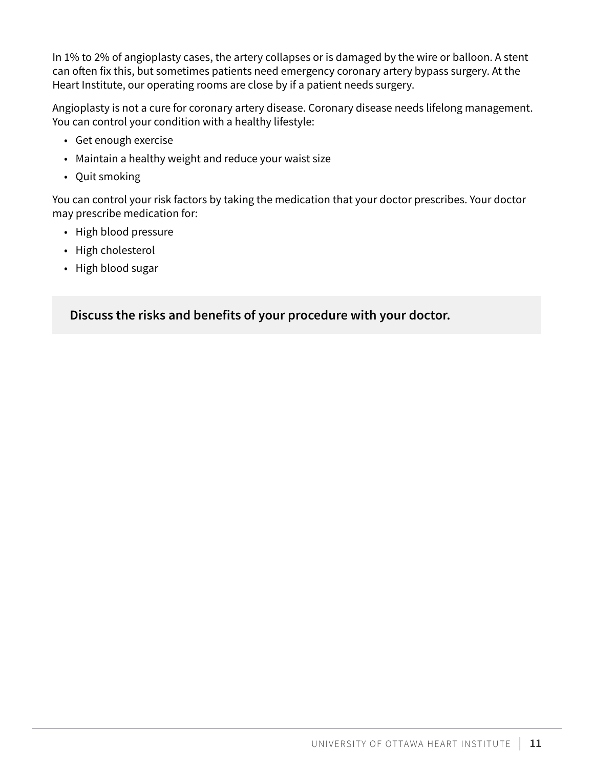In 1% to 2% of angioplasty cases, the artery collapses or is damaged by the wire or balloon. A stent can often fix this, but sometimes patients need emergency coronary artery bypass surgery. At the Heart Institute, our operating rooms are close by if a patient needs surgery.

Angioplasty is not a cure for coronary artery disease. Coronary disease needs lifelong management. You can control your condition with a healthy lifestyle:

- Get enough exercise
- Maintain a healthy weight and reduce your waist size
- Quit smoking

You can control your risk factors by taking the medication that your doctor prescribes. Your doctor may prescribe medication for:

- High blood pressure
- High cholesterol
- High blood sugar

**Discuss the risks and benefits of your procedure with your doctor.**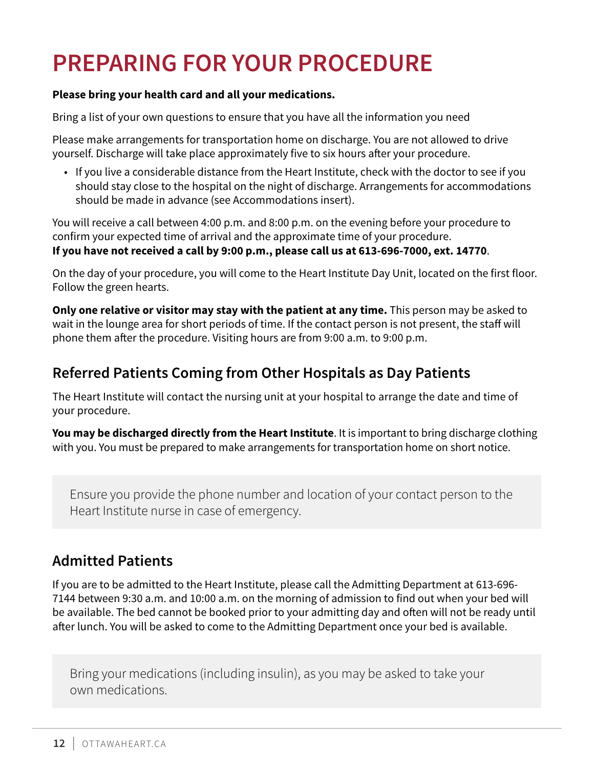## <span id="page-11-0"></span>**PREPARING FOR YOUR PROCEDURE**

#### **Please bring your health card and all your medications.**

Bring a list of your own questions to ensure that you have all the information you need

Please make arrangements for transportation home on discharge. You are not allowed to drive yourself. Discharge will take place approximately five to six hours after your procedure.

• If you live a considerable distance from the Heart Institute, check with the doctor to see if you should stay close to the hospital on the night of discharge. Arrangements for accommodations should be made in advance (see Accommodations insert).

You will receive a call between 4:00 p.m. and 8:00 p.m. on the evening before your procedure to confirm your expected time of arrival and the approximate time of your procedure. **If you have not received a call by 9:00 p.m., please call us at 613-696-7000, ext. 14770**.

On the day of your procedure, you will come to the Heart Institute Day Unit, located on the first floor. Follow the green hearts.

**Only one relative or visitor may stay with the patient at any time.** This person may be asked to wait in the lounge area for short periods of time. If the contact person is not present, the staff will phone them after the procedure. Visiting hours are from 9:00 a.m. to 9:00 p.m.

## **Referred Patients Coming from Other Hospitals as Day Patients**

The Heart Institute will contact the nursing unit at your hospital to arrange the date and time of your procedure.

**You may be discharged directly from the Heart Institute**. It is important to bring discharge clothing with you. You must be prepared to make arrangements for transportation home on short notice.

Ensure you provide the phone number and location of your contact person to the Heart Institute nurse in case of emergency.

## **Admitted Patients**

If you are to be admitted to the Heart Institute, please call the Admitting Department at 613-696- 7144 between 9:30 a.m. and 10:00 a.m. on the morning of admission to find out when your bed will be available. The bed cannot be booked prior to your admitting day and often will not be ready until after lunch. You will be asked to come to the Admitting Department once your bed is available.

Bring your medications (including insulin), as you may be asked to take your own medications.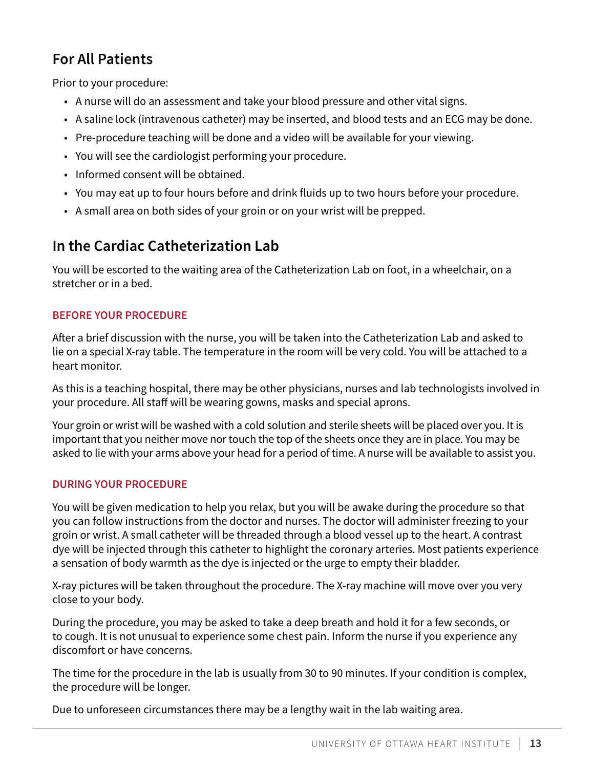## <span id="page-12-0"></span>**For All Patients**

Prior to your procedure:

- A nurse will do an assessment and take your blood pressure and other vital signs.
- A saline lock (intravenous catheter) may be inserted, and blood tests and an ECG may be done.
- Pre-procedure teaching will be done and a video will be available for your viewing.
- You will see the cardiologist performing your procedure.
- Informed consent will be obtained.
- You may eat up to four hours before and drink fluids up to two hours before your procedure.
- A small area on both sides of your groin or on your wrist will be prepped.

## **In the Cardiac Catheterization Lab**

You will be escorted to the waiting area of the Catheterization Lab on foot, in a wheelchair, on a stretcher or in a bed.

#### **BEFORE YOUR PROCEDURE**

After a brief discussion with the nurse, you will be taken into the Catheterization Lab and asked to lie on a special X-ray table. The temperature in the room will be very cold. You will be attached to a heart monitor.

As this is a teaching hospital, there may be other physicians, nurses and lab technologists involved in your procedure. All staff will be wearing gowns, masks and special aprons.

Your groin or wrist will be washed with a cold solution and sterile sheets will be placed over you. It is important that you neither move nor touch the top of the sheets once they are in place. You may be asked to lie with your arms above your head for a period of time. A nurse will be available to assist you.

#### **DURING YOUR PROCEDURE**

You will be given medication to help you relax, but you will be awake during the procedure so that you can follow instructions from the doctor and nurses. The doctor will administer freezing to your groin or wrist. A small catheter will be threaded through a blood vessel up to the heart. A contrast dye will be injected through this catheter to highlight the coronary arteries. Most patients experience a sensation of body warmth as the dye is injected or the urge to empty their bladder.

X-ray pictures will be taken throughout the procedure. The X-ray machine will move over you very close to your body.

During the procedure, you may be asked to take a deep breath and hold it for a few seconds, or to cough. It is not unusual to experience some chest pain. Inform the nurse if you experience any discomfort or have concerns.

The time for the procedure in the lab is usually from 30 to 90 minutes. If your condition is complex, the procedure will be longer.

Due to unforeseen circumstances there may be a lengthy wait in the lab waiting area.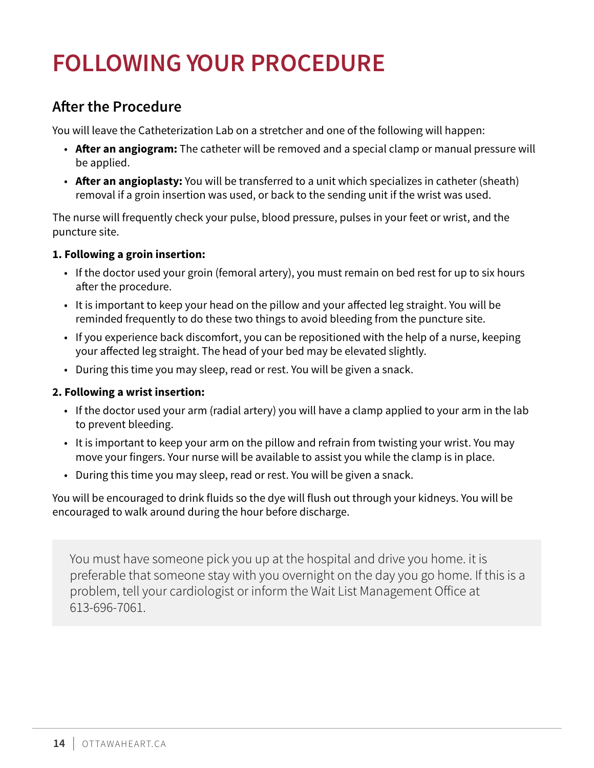## <span id="page-13-0"></span>**FOLLOWING YOUR PROCEDURE**

## **After the Procedure**

You will leave the Catheterization Lab on a stretcher and one of the following will happen:

- **After an angiogram:** The catheter will be removed and a special clamp or manual pressure will be applied.
- **After an angioplasty:** You will be transferred to a unit which specializes in catheter (sheath) removal if a groin insertion was used, or back to the sending unit if the wrist was used.

The nurse will frequently check your pulse, blood pressure, pulses in your feet or wrist, and the puncture site.

#### **1. Following a groin insertion:**

- If the doctor used your groin (femoral artery), you must remain on bed rest for up to six hours after the procedure.
- It is important to keep your head on the pillow and your affected leg straight. You will be reminded frequently to do these two things to avoid bleeding from the puncture site.
- If you experience back discomfort, you can be repositioned with the help of a nurse, keeping your affected leg straight. The head of your bed may be elevated slightly.
- During this time you may sleep, read or rest. You will be given a snack.

#### **2. Following a wrist insertion:**

- If the doctor used your arm (radial artery) you will have a clamp applied to your arm in the lab to prevent bleeding.
- It is important to keep your arm on the pillow and refrain from twisting your wrist. You may move your fingers. Your nurse will be available to assist you while the clamp is in place.
- During this time you may sleep, read or rest. You will be given a snack.

You will be encouraged to drink fluids so the dye will flush out through your kidneys. You will be encouraged to walk around during the hour before discharge.

You must have someone pick you up at the hospital and drive you home. it is preferable that someone stay with you overnight on the day you go home. If this is a problem, tell your cardiologist or inform the Wait List Management Office at 613-696-7061.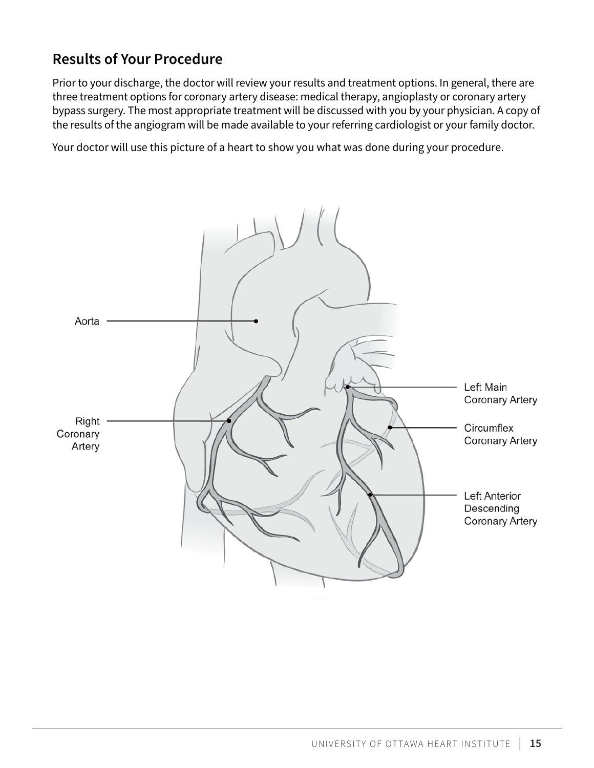## <span id="page-14-0"></span>**Results of Your Procedure**

Prior to your discharge, the doctor will review your results and treatment options. In general, there are three treatment options for coronary artery disease: medical therapy, angioplasty or coronary artery bypass surgery. The most appropriate treatment will be discussed with you by your physician. A copy of the results of the angiogram will be made available to your referring cardiologist or your family doctor.

Your doctor will use this picture of a heart to show you what was done during your procedure.

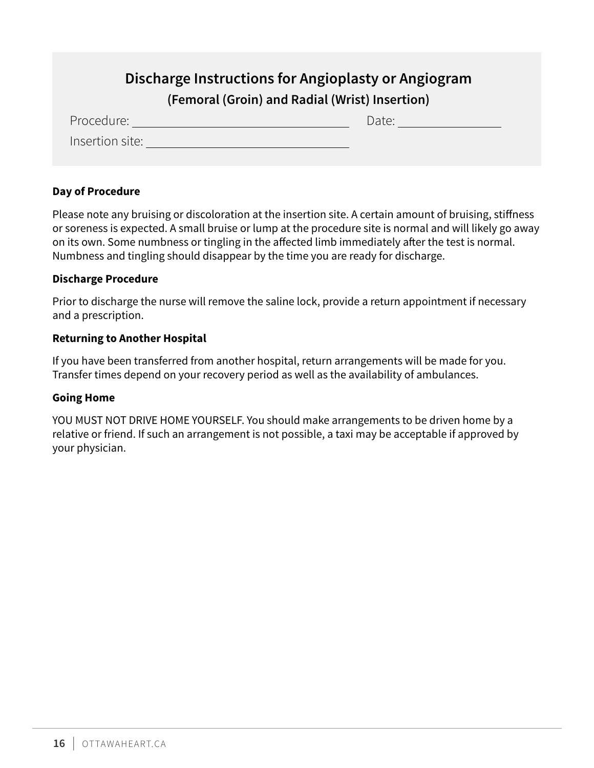## **Discharge Instructions for Angioplasty or Angiogram**

### **(Femoral (Groin) and Radial (Wrist) Insertion)**

<span id="page-15-0"></span>

| Procedure:      | Date: |
|-----------------|-------|
| Insertion site: |       |

#### **Day of Procedure**

Please note any bruising or discoloration at the insertion site. A certain amount of bruising, stiffness or soreness is expected. A small bruise or lump at the procedure site is normal and will likely go away on its own. Some numbness or tingling in the affected limb immediately after the test is normal. Numbness and tingling should disappear by the time you are ready for discharge.

#### **Discharge Procedure**

Prior to discharge the nurse will remove the saline lock, provide a return appointment if necessary and a prescription.

#### **Returning to Another Hospital**

If you have been transferred from another hospital, return arrangements will be made for you. Transfer times depend on your recovery period as well as the availability of ambulances.

#### **Going Home**

YOU MUST NOT DRIVE HOME YOURSELF. You should make arrangements to be driven home by a relative or friend. If such an arrangement is not possible, a taxi may be acceptable if approved by your physician.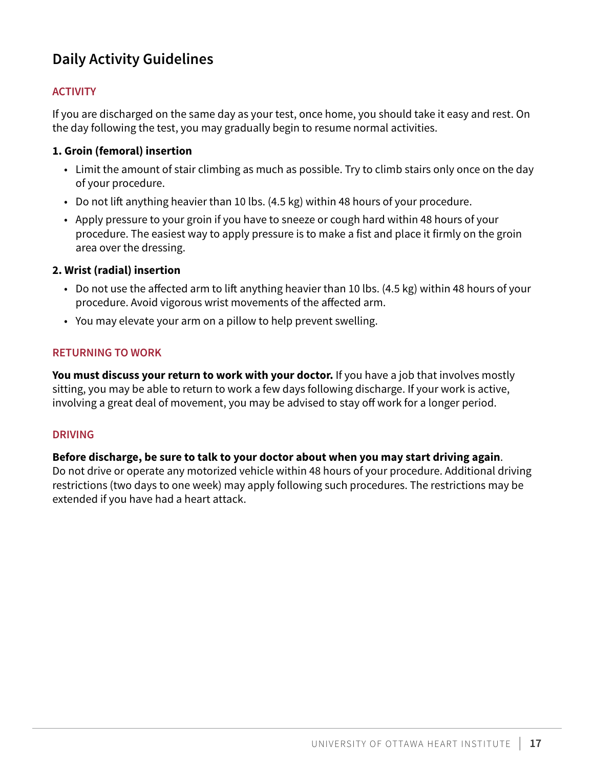## <span id="page-16-0"></span>**Daily Activity Guidelines**

#### **ACTIVITY**

If you are discharged on the same day as your test, once home, you should take it easy and rest. On the day following the test, you may gradually begin to resume normal activities.

#### **1. Groin (femoral) insertion**

- Limit the amount of stair climbing as much as possible. Try to climb stairs only once on the day of your procedure.
- Do not lift anything heavier than 10 lbs. (4.5 kg) within 48 hours of your procedure.
- Apply pressure to your groin if you have to sneeze or cough hard within 48 hours of your procedure. The easiest way to apply pressure is to make a fist and place it firmly on the groin area over the dressing.

#### **2. Wrist (radial) insertion**

- Do not use the affected arm to lift anything heavier than 10 lbs. (4.5 kg) within 48 hours of your procedure. Avoid vigorous wrist movements of the affected arm.
- You may elevate your arm on a pillow to help prevent swelling.

#### **RETURNING TO WORK**

You must discuss your return to work with your doctor. If you have a job that involves mostly sitting, you may be able to return to work a few days following discharge. If your work is active, involving a great deal of movement, you may be advised to stay off work for a longer period.

#### **DRIVING**

#### **Before discharge, be sure to talk to your doctor about when you may start driving again**.

Do not drive or operate any motorized vehicle within 48 hours of your procedure. Additional driving restrictions (two days to one week) may apply following such procedures. The restrictions may be extended if you have had a heart attack.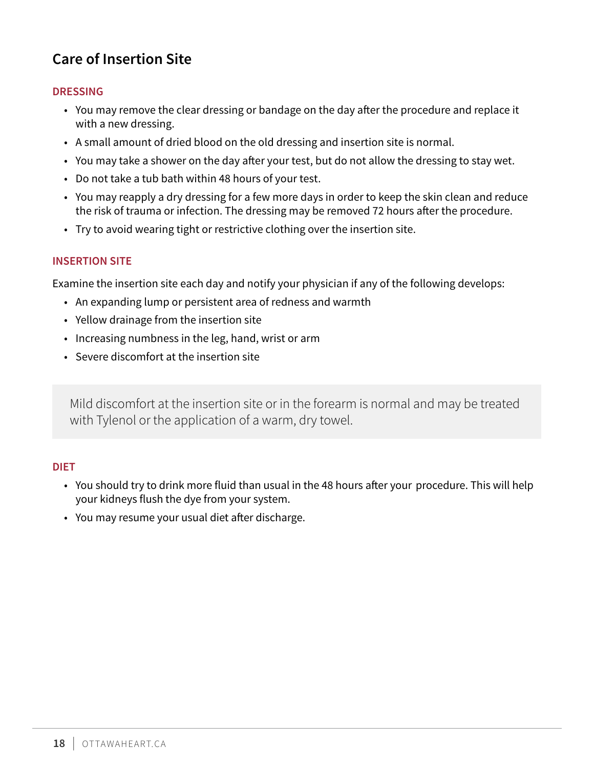## <span id="page-17-0"></span>**Care of Insertion Site**

#### **DRESSING**

- You may remove the clear dressing or bandage on the day after the procedure and replace it with a new dressing.
- A small amount of dried blood on the old dressing and insertion site is normal.
- You may take a shower on the day after your test, but do not allow the dressing to stay wet.
- Do not take a tub bath within 48 hours of your test.
- You may reapply a dry dressing for a few more days in order to keep the skin clean and reduce the risk of trauma or infection. The dressing may be removed 72 hours after the procedure.
- Try to avoid wearing tight or restrictive clothing over the insertion site.

#### **INSERTION SITE**

Examine the insertion site each day and notify your physician if any of the following develops:

- An expanding lump or persistent area of redness and warmth
- Yellow drainage from the insertion site
- Increasing numbness in the leg, hand, wrist or arm
- Severe discomfort at the insertion site

Mild discomfort at the insertion site or in the forearm is normal and may be treated with Tylenol or the application of a warm, dry towel.

#### **DIET**

- You should try to drink more fluid than usual in the 48 hours after your procedure. This will help your kidneys flush the dye from your system.
- You may resume your usual diet after discharge.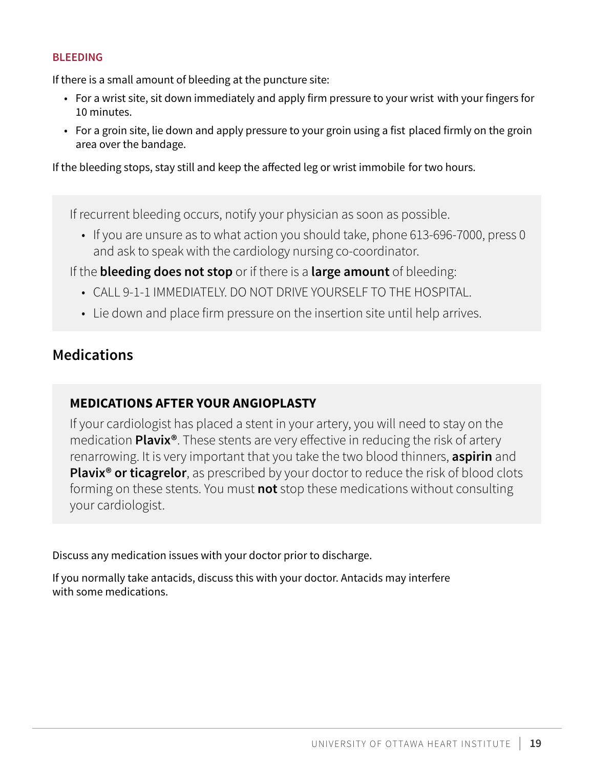#### <span id="page-18-0"></span>**BLEEDING**

If there is a small amount of bleeding at the puncture site:

- For a wrist site, sit down immediately and apply firm pressure to your wrist with your fingers for 10 minutes.
- For a groin site, lie down and apply pressure to your groin using a fist placed firmly on the groin area over the bandage.

If the bleeding stops, stay still and keep the affected leg or wrist immobile for two hours.

If recurrent bleeding occurs, notify your physician as soon as possible.

• If you are unsure as to what action you should take, phone 613-696-7000, press 0 and ask to speak with the cardiology nursing co-coordinator.

If the **bleeding does not stop** or if there is a **large amount** of bleeding:

- CALL 9-1-1 IMMEDIATELY. DO NOT DRIVE YOURSELF TO THE HOSPITAL.
- Lie down and place firm pressure on the insertion site until help arrives.

### **Medications**

### **MEDICATIONS AFTER YOUR ANGIOPLASTY**

If your cardiologist has placed a stent in your artery, you will need to stay on the medication **Plavix®**. These stents are very effective in reducing the risk of artery renarrowing. It is very important that you take the two blood thinners, **aspirin** and **Plavix<sup>®</sup> or ticagrelor**, as prescribed by your doctor to reduce the risk of blood clots forming on these stents. You must **not** stop these medications without consulting your cardiologist.

Discuss any medication issues with your doctor prior to discharge.

If you normally take antacids, discuss this with your doctor. Antacids may interfere with some medications.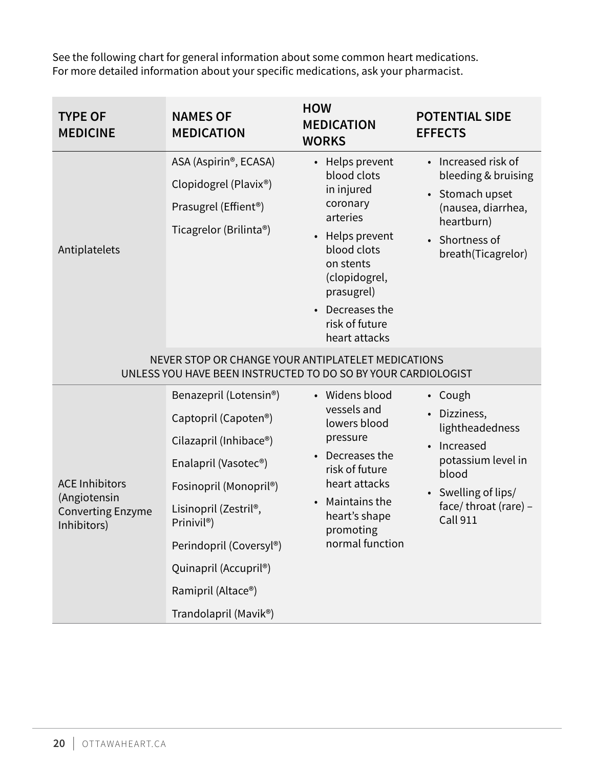<span id="page-19-0"></span>See the following chart for general information about some common heart medications. For more detailed information about your specific medications, ask your pharmacist.

| <b>TYPE OF</b><br><b>MEDICINE</b>                                                | <b>NAMES OF</b><br><b>MEDICATION</b>                                                                                                                                                                                                                                                                                                               | <b>HOW</b><br><b>MEDICATION</b><br><b>WORKS</b>                                                                                                                                                          | <b>POTENTIAL SIDE</b><br><b>EFFECTS</b>                                                                                                                |
|----------------------------------------------------------------------------------|----------------------------------------------------------------------------------------------------------------------------------------------------------------------------------------------------------------------------------------------------------------------------------------------------------------------------------------------------|----------------------------------------------------------------------------------------------------------------------------------------------------------------------------------------------------------|--------------------------------------------------------------------------------------------------------------------------------------------------------|
| Antiplatelets                                                                    | ASA (Aspirin®, ECASA)<br>Clopidogrel (Plavix®)<br>Prasugrel (Effient <sup>®</sup> )<br>Ticagrelor (Brilinta®)                                                                                                                                                                                                                                      | • Helps prevent<br>blood clots<br>in injured<br>coronary<br>arteries<br>• Helps prevent<br>blood clots<br>on stents<br>(clopidogrel,<br>prasugrel)<br>• Decreases the<br>risk of future<br>heart attacks | • Increased risk of<br>bleeding & bruising<br>• Stomach upset<br>(nausea, diarrhea,<br>heartburn)<br>Shortness of<br>breath(Ticagrelor)                |
|                                                                                  | NEVER STOP OR CHANGE YOUR ANTIPLATELET MEDICATIONS<br>UNLESS YOU HAVE BEEN INSTRUCTED TO DO SO BY YOUR CARDIOLOGIST                                                                                                                                                                                                                                |                                                                                                                                                                                                          |                                                                                                                                                        |
| <b>ACE Inhibitors</b><br>(Angiotensin<br><b>Converting Enzyme</b><br>Inhibitors) | Benazepril (Lotensin <sup>®</sup> )<br>Captopril (Capoten <sup>®</sup> )<br>Cilazapril (Inhibace®)<br>Enalapril (Vasotec <sup>®</sup> )<br>Fosinopril (Monopril <sup>®</sup> )<br>Lisinopril (Zestril <sup>®</sup> ,<br>Prinivil <sup>®</sup> )<br>Perindopril (Coversyl®)<br>Quinapril (Accupril®)<br>Ramipril (Altace®)<br>Trandolapril (Mavik®) | • Widens blood<br>vessels and<br>lowers blood<br>pressure<br>• Decreases the<br>risk of future<br>heart attacks<br>Maintains the<br>heart's shape<br>promoting<br>normal function                        | • Cough<br>Dizziness,<br>lightheadedness<br>Increased<br>potassium level in<br>blood<br>• Swelling of lips/<br>face/throat (rare) -<br><b>Call 911</b> |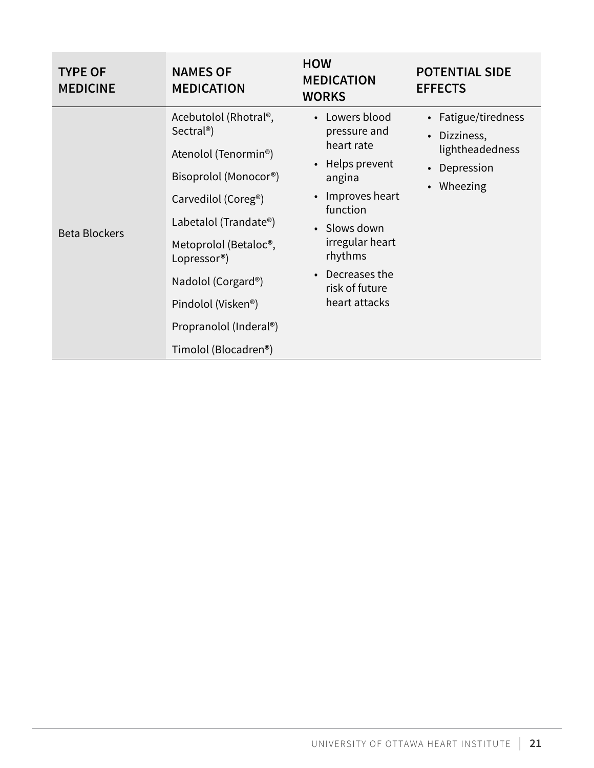| <b>TYPE OF</b><br><b>MEDICINE</b> | <b>NAMES OF</b><br><b>MEDICATION</b>                                                                                                                                                                                                                                                                                                                                              | <b>HOW</b><br><b>MEDICATION</b><br><b>WORKS</b>                                                                                                                                                         | <b>POTENTIAL SIDE</b><br><b>EFFECTS</b>                                                                  |
|-----------------------------------|-----------------------------------------------------------------------------------------------------------------------------------------------------------------------------------------------------------------------------------------------------------------------------------------------------------------------------------------------------------------------------------|---------------------------------------------------------------------------------------------------------------------------------------------------------------------------------------------------------|----------------------------------------------------------------------------------------------------------|
| <b>Beta Blockers</b>              | Acebutolol (Rhotral®,<br>Sectral <sup>®</sup> )<br>Atenolol (Tenormin <sup>®</sup> )<br>Bisoprolol (Monocor <sup>®</sup> )<br>Carvedilol (Coreg <sup>®</sup> )<br>Labetalol (Trandate®)<br>Metoprolol (Betaloc <sup>®</sup> ,<br>Lopressor <sup>®</sup> )<br>Nadolol (Corgard®)<br>Pindolol (Visken <sup>®</sup> )<br>Propranolol (Inderal®)<br>Timolol (Blocadren <sup>®</sup> ) | Lowers blood<br>pressure and<br>heart rate<br>• Helps prevent<br>angina<br>Improves heart<br>function<br>• Slows down<br>irregular heart<br>rhythms<br>Decreases the<br>risk of future<br>heart attacks | • Fatigue/tiredness<br>Dizziness,<br>$\bullet$<br>lightheadedness<br>Depression<br>Wheezing<br>$\bullet$ |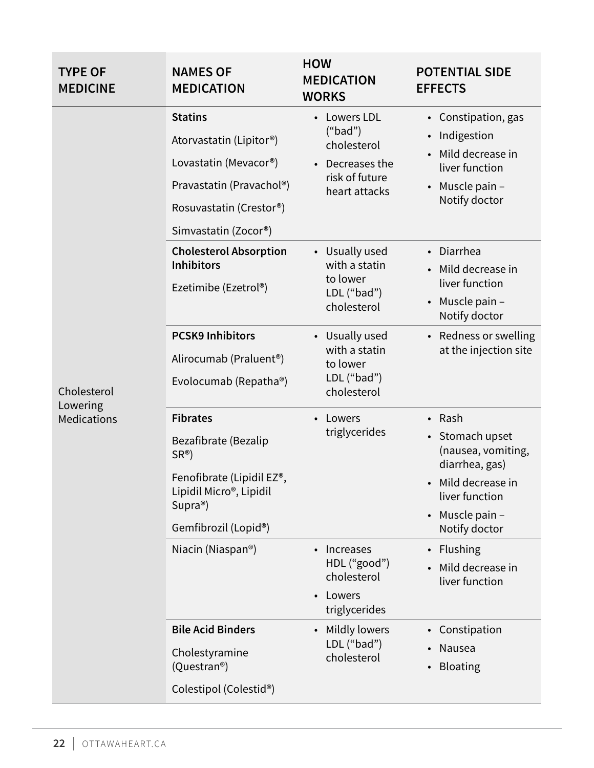| <b>TYPE OF</b><br><b>MEDICINE</b>      | <b>NAMES OF</b><br><b>MEDICATION</b>                                                                                                                                               | <b>HOW</b><br><b>MEDICATION</b><br><b>WORKS</b>                                                 | <b>POTENTIAL SIDE</b><br><b>EFFECTS</b>                                                                                                     |
|----------------------------------------|------------------------------------------------------------------------------------------------------------------------------------------------------------------------------------|-------------------------------------------------------------------------------------------------|---------------------------------------------------------------------------------------------------------------------------------------------|
| Cholesterol<br>Lowering<br>Medications | <b>Statins</b><br>Atorvastatin (Lipitor®)<br>Lovastatin (Mevacor <sup>®</sup> )<br>Pravastatin (Pravachol®)<br>Rosuvastatin (Crestor®)<br>Simvastatin (Zocor®)                     | <b>Lowers LDL</b><br>("bad")<br>cholesterol<br>Decreases the<br>risk of future<br>heart attacks | • Constipation, gas<br>Indigestion<br>$\bullet$<br>Mild decrease in<br>liver function<br>Muscle pain -<br>$\bullet$<br>Notify doctor        |
|                                        | <b>Cholesterol Absorption</b><br><b>Inhibitors</b><br>Ezetimibe (Ezetrol <sup>®</sup> )                                                                                            | • Usually used<br>with a statin<br>to lower<br>LDL ("bad")<br>cholesterol                       | • Diarrhea<br>• Mild decrease in<br>liver function<br>$\bullet$ Muscle pain -<br>Notify doctor                                              |
|                                        | <b>PCSK9 Inhibitors</b><br>Alirocumab (Praluent <sup>®</sup> )<br>Evolocumab (Repatha®)                                                                                            | • Usually used<br>with a statin<br>to lower<br>LDL ("bad")<br>cholesterol                       | • Redness or swelling<br>at the injection site                                                                                              |
|                                        | <b>Fibrates</b><br>Bezafibrate (Bezalip<br>$SR^{\circledR}$<br>Fenofibrate (Lipidil EZ®,<br>Lipidil Micro <sup>®</sup> , Lipidil<br>$Supra^{\circledcirc}$<br>Gemfibrozil (Lopid®) | Lowers<br>triglycerides                                                                         | • Rash<br>• Stomach upset<br>(nausea, vomiting,<br>diarrhea, gas)<br>• Mild decrease in<br>liver function<br>Muscle pain -<br>Notify doctor |
|                                        | Niacin (Niaspan®)                                                                                                                                                                  | Increases<br>HDL ("good")<br>cholesterol<br>Lowers<br>triglycerides                             | Flushing<br>Mild decrease in<br>liver function                                                                                              |
|                                        | <b>Bile Acid Binders</b><br>Cholestyramine<br>(Questran <sup>®</sup> )<br>Colestipol (Colestid®)                                                                                   | Mildly lowers<br>LDL ("bad")<br>cholesterol                                                     | Constipation<br>$\bullet$<br>Nausea<br>$\bullet$<br><b>Bloating</b>                                                                         |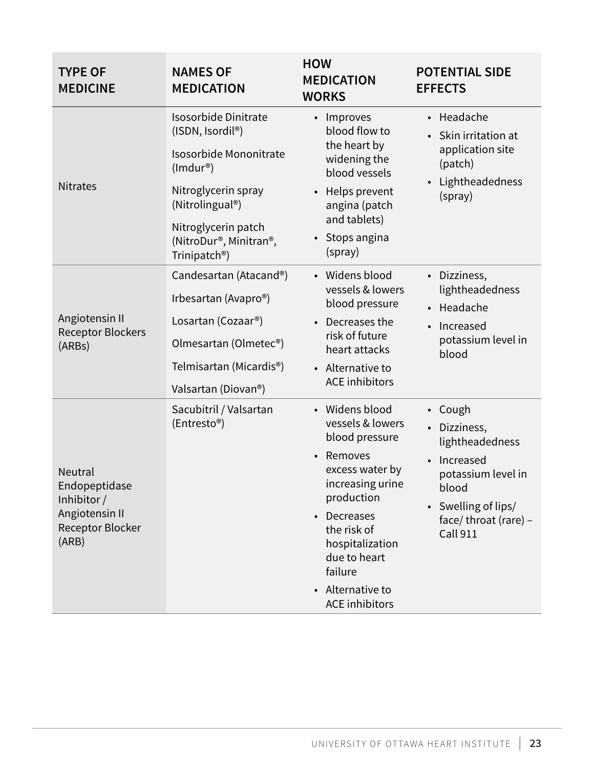| <b>TYPE OF</b><br><b>MEDICINE</b>                                                                    | <b>NAMES OF</b><br><b>MEDICATION</b>                                                                                                                                                                                                       | <b>HOW</b><br><b>MEDICATION</b><br><b>WORKS</b>                                                                                                                                                                                                                       | <b>POTENTIAL SIDE</b><br><b>EFFECTS</b>                                                                                                                             |
|------------------------------------------------------------------------------------------------------|--------------------------------------------------------------------------------------------------------------------------------------------------------------------------------------------------------------------------------------------|-----------------------------------------------------------------------------------------------------------------------------------------------------------------------------------------------------------------------------------------------------------------------|---------------------------------------------------------------------------------------------------------------------------------------------------------------------|
| <b>Nitrates</b>                                                                                      | <b>Isosorbide Dinitrate</b><br>(ISDN, Isordil <sup>®</sup> )<br>Isosorbide Mononitrate<br>$(Imdur^*)$<br>Nitroglycerin spray<br>(Nitrolingual <sup>®</sup> )<br>Nitroglycerin patch<br>(NitroDur®, Minitran®,<br>Trinipatch <sup>®</sup> ) | • Improves<br>blood flow to<br>the heart by<br>widening the<br>blood vessels<br>Helps prevent<br>$\bullet$<br>angina (patch<br>and tablets)<br>Stops angina<br>(spray)                                                                                                | • Headache<br>Skin irritation at<br>application site<br>(patch)<br>Lightheadedness<br>(spray)                                                                       |
| Angiotensin II<br><b>Receptor Blockers</b><br>(ARBs)                                                 | Candesartan (Atacand®)<br>Irbesartan (Avapro®)<br>Losartan (Cozaar <sup>®</sup> )<br>Olmesartan (Olmetec <sup>®</sup> )<br>Telmisartan (Micardis <sup>®</sup> )<br>Valsartan (Diovan <sup>®</sup> )                                        | • Widens blood<br>vessels & lowers<br>blood pressure<br>Decreases the<br>$\bullet$<br>risk of future<br>heart attacks<br>• Alternative to<br><b>ACE</b> inhibitors                                                                                                    | • Dizziness,<br>lightheadedness<br>• Headache<br>Increased<br>potassium level in<br>blood                                                                           |
| <b>Neutral</b><br>Endopeptidase<br>Inhibitor /<br>Angiotensin II<br><b>Receptor Blocker</b><br>(ARB) | Sacubitril / Valsartan<br>(Entresto®)                                                                                                                                                                                                      | • Widens blood<br>vessels & lowers<br>blood pressure<br>Removes<br>$\bullet$<br>excess water by<br>increasing urine<br>production<br>Decreases<br>$\bullet$<br>the risk of<br>hospitalization<br>due to heart<br>failure<br>• Alternative to<br><b>ACE</b> inhibitors | • Cough<br>Dizziness,<br>$\bullet$<br>lightheadedness<br>Increased<br>potassium level in<br>blood<br>• Swelling of lips/<br>face/throat (rare) -<br><b>Call 911</b> |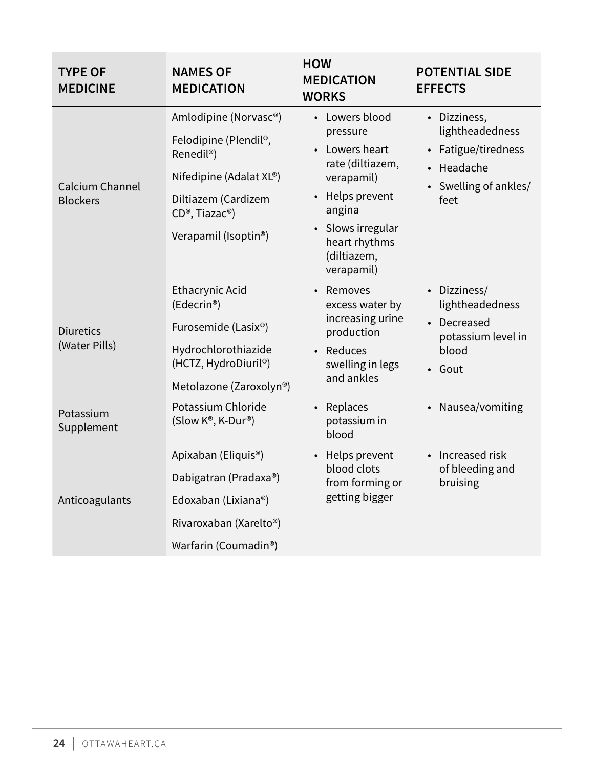| <b>TYPE OF</b><br><b>MEDICINE</b>  | <b>NAMES OF</b><br><b>MEDICATION</b>                                                                                                                                                          | <b>HOW</b><br><b>MEDICATION</b><br><b>WORKS</b>                                                                                                                                           | <b>POTENTIAL SIDE</b><br><b>EFFECTS</b>                                                                      |
|------------------------------------|-----------------------------------------------------------------------------------------------------------------------------------------------------------------------------------------------|-------------------------------------------------------------------------------------------------------------------------------------------------------------------------------------------|--------------------------------------------------------------------------------------------------------------|
| Calcium Channel<br><b>Blockers</b> | Amlodipine (Norvasc®)<br>Felodipine (Plendil®,<br>Renedil <sup>®</sup> )<br>Nifedipine (Adalat XL®)<br>Diltiazem (Cardizem<br>CD <sup>®</sup> , Tiazac <sup>®</sup> )<br>Verapamil (Isoptin®) | • Lowers blood<br>pressure<br>• Lowers heart<br>rate (diltiazem,<br>verapamil)<br>• Helps prevent<br>angina<br>Slows irregular<br>$\bullet$<br>heart rhythms<br>(diltiazem,<br>verapamil) | • Dizziness,<br>lightheadedness<br>Fatigue/tiredness<br>Headache<br>$\bullet$<br>Swelling of ankles/<br>feet |
| <b>Diuretics</b><br>(Water Pills)  | <b>Ethacrynic Acid</b><br>(Edecrin®)<br>Furosemide (Lasix®)<br>Hydrochlorothiazide<br>(HCTZ, HydroDiuril®)<br>Metolazone (Zaroxolyn®)                                                         | • Removes<br>excess water by<br>increasing urine<br>production<br>• Reduces<br>swelling in legs<br>and ankles                                                                             | • Dizziness/<br>lightheadedness<br>• Decreased<br>potassium level in<br>blood<br>• Gout                      |
| Potassium<br>Supplement            | Potassium Chloride<br>(Slow K®, K-Dur®)                                                                                                                                                       | • Replaces<br>potassium in<br>blood                                                                                                                                                       | Nausea/vomiting<br>$\bullet$                                                                                 |
| Anticoagulants                     | Apixaban (Eliquis <sup>®</sup> )<br>Dabigatran (Pradaxa®)<br>Edoxaban (Lixiana®)<br>Rivaroxaban (Xarelto <sup>®</sup> )<br>Warfarin (Coumadin <sup>®</sup> )                                  | • Helps prevent<br>blood clots<br>from forming or<br>getting bigger                                                                                                                       | • Increased risk<br>of bleeding and<br>bruising                                                              |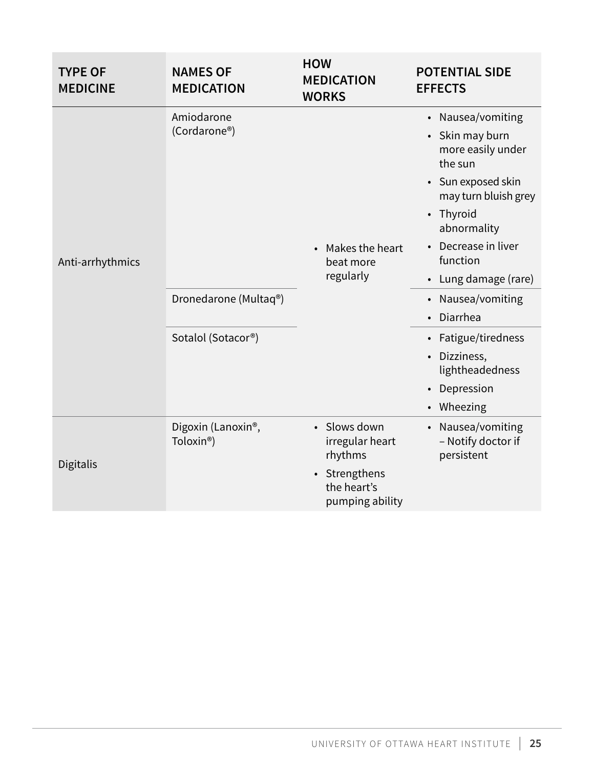| <b>TYPE OF</b><br><b>MEDICINE</b> | <b>NAMES OF</b><br><b>MEDICATION</b>                      | <b>HOW</b><br><b>MEDICATION</b><br><b>WORKS</b>            | <b>POTENTIAL SIDE</b><br><b>EFFECTS</b>                          |
|-----------------------------------|-----------------------------------------------------------|------------------------------------------------------------|------------------------------------------------------------------|
|                                   | Amiodarone                                                |                                                            | Nausea/vomiting<br>$\bullet$                                     |
|                                   | (Cordarone®)                                              |                                                            | Skin may burn<br>$\bullet$<br>more easily under<br>the sun       |
|                                   |                                                           |                                                            | • Sun exposed skin<br>may turn bluish grey                       |
| Anti-arrhythmics                  |                                                           |                                                            | • Thyroid<br>abnormality                                         |
|                                   |                                                           | Makes the heart<br>beat more<br>regularly                  | Decrease in liver<br>$\bullet$<br>function                       |
|                                   |                                                           |                                                            | • Lung damage (rare)                                             |
|                                   | Dronedarone (Multaq®)                                     |                                                            | • Nausea/vomiting                                                |
|                                   |                                                           |                                                            | Diarrhea<br>$\bullet$                                            |
|                                   | Sotalol (Sotacor®)                                        |                                                            | • Fatigue/tiredness                                              |
|                                   |                                                           |                                                            | Dizziness,<br>$\bullet$<br>lightheadedness                       |
|                                   |                                                           |                                                            | Depression<br>$\bullet$                                          |
|                                   |                                                           |                                                            | • Wheezing                                                       |
| Digitalis                         | Digoxin (Lanoxin <sup>®</sup> ,<br>Toloxin <sup>®</sup> ) | Slows down<br>irregular heart<br>rhythms                   | Nausea/vomiting<br>$\bullet$<br>- Notify doctor if<br>persistent |
|                                   |                                                           | Strengthens<br>$\bullet$<br>the heart's<br>pumping ability |                                                                  |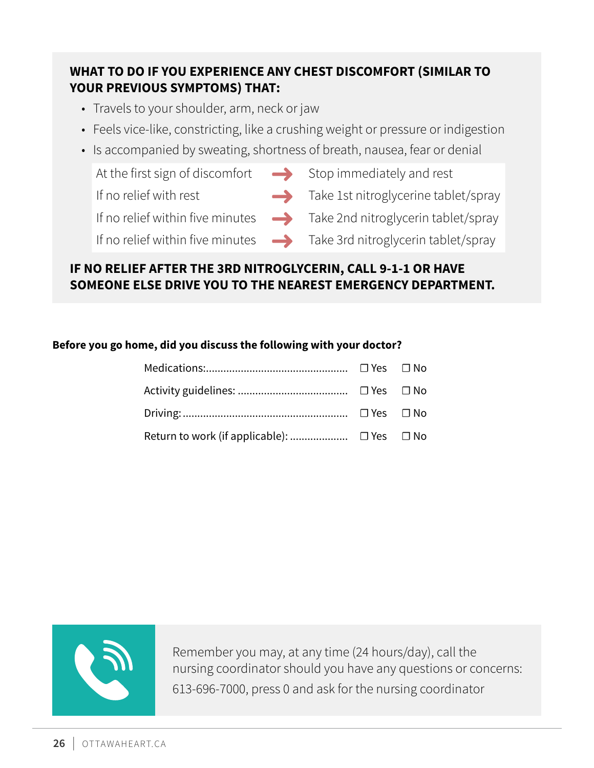### **WHAT TO DO IF YOU EXPERIENCE ANY CHEST DISCOMFORT (SIMILAR TO YOUR PREVIOUS SYMPTOMS) THAT:**

- Travels to your shoulder, arm, neck or jaw
- Feels vice-like, constricting, like a crushing weight or pressure or indigestion
- Is accompanied by sweating, shortness of breath, nausea, fear or denial

At the first sign of discomfort  $\longrightarrow$  Stop immediately and rest

- 
- If no relief with rest  $\longrightarrow$  Take 1st nitroglycerine tablet/spray

If no relief within five minutes  $\longrightarrow$  Take 2nd nitroglycerin tablet/spray

- 
- 
- If no relief within five minutes  $\longrightarrow$  Take 3rd nitroglycerin tablet/spray

### **IF NO RELIEF AFTER THE 3RD NITROGLYCERIN, CALL 9-1-1 OR HAVE SOMEONE ELSE DRIVE YOU TO THE NEAREST EMERGENCY DEPARTMENT.**

#### **Before you go home, did you discuss the following with your doctor?**



Remember you may, at any time (24 hours/day), call the nursing coordinator should you have any questions or concerns: 613-696-7000, press 0 and ask for the nursing coordinator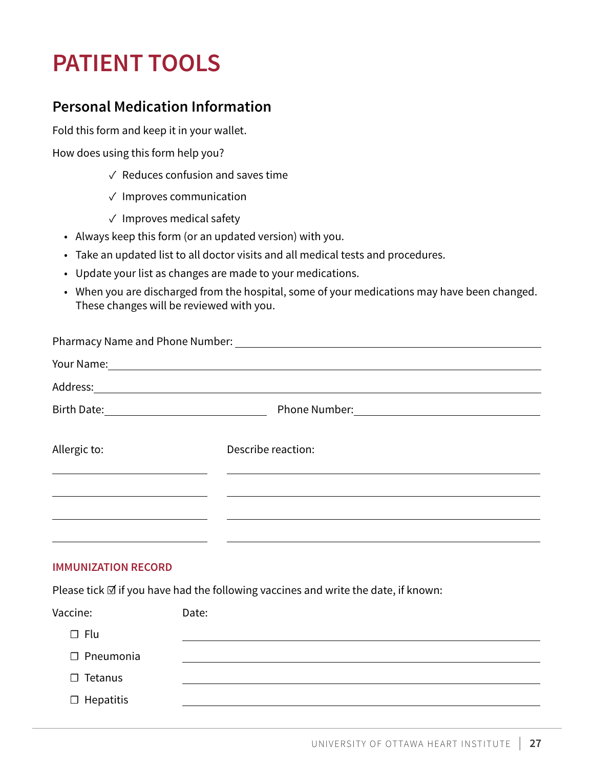## <span id="page-26-0"></span>**PATIENT TOOLS**

### **Personal Medication Information**

Fold this form and keep it in your wallet.

How does using this form help you?

- ✓ Reduces confusion and saves time
- ✓ Improves communication
- ✓ Improves medical safety
- Always keep this form (or an updated version) with you.
- Take an updated list to all doctor visits and all medical tests and procedures.
- Update your list as changes are made to your medications.
- When you are discharged from the hospital, some of your medications may have been changed. These changes will be reviewed with you.

| Describe reaction: |
|--------------------|
|                    |
|                    |
|                    |

#### **IMMUNIZATION RECORD**

Please tick ☑ if you have had the following vaccines and write the date, if known:

| Vaccine:         | Date: |
|------------------|-------|
| $\Box$ Flu       |       |
| $\Box$ Pneumonia |       |
| $\Box$ Tetanus   |       |
| $\Box$ Hepatitis |       |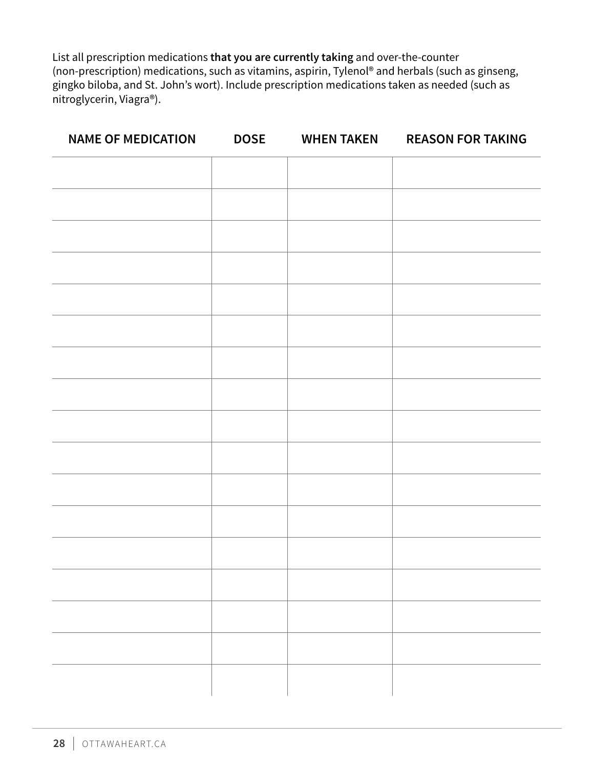List all prescription medications **that you are currently taking** and over-the-counter (non-prescription) medications, such as vitamins, aspirin, Tylenol® and herbals (such as ginseng, gingko biloba, and St. John's wort). Include prescription medications taken as needed (such as nitroglycerin, Viagra®).

| <b>NAME OF MEDICATION</b> | <b>DOSE</b> | <b>WHEN TAKEN</b> | <b>REASON FOR TAKING</b> |
|---------------------------|-------------|-------------------|--------------------------|
|                           |             |                   |                          |
|                           |             |                   |                          |
|                           |             |                   |                          |
|                           |             |                   |                          |
|                           |             |                   |                          |
|                           |             |                   |                          |
|                           |             |                   |                          |
|                           |             |                   |                          |
|                           |             |                   |                          |
|                           |             |                   |                          |
|                           |             |                   |                          |
|                           |             |                   |                          |
|                           |             |                   |                          |
|                           |             |                   |                          |
|                           |             |                   |                          |
|                           |             |                   |                          |
|                           |             |                   |                          |
|                           |             |                   |                          |
|                           |             |                   |                          |
|                           |             |                   |                          |